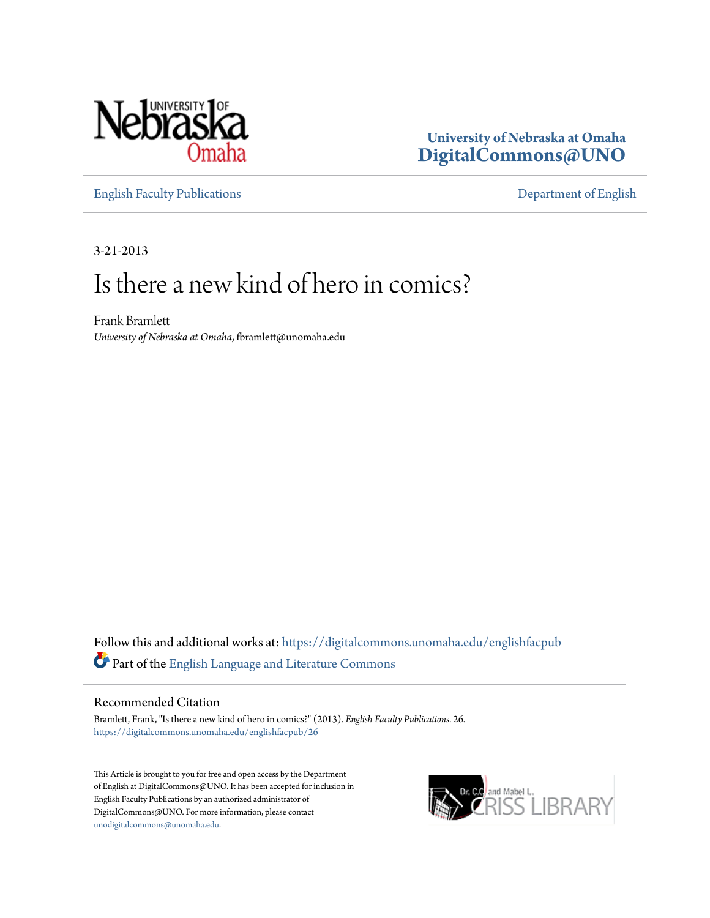

**University of Nebraska at Omaha [DigitalCommons@UNO](https://digitalcommons.unomaha.edu?utm_source=digitalcommons.unomaha.edu%2Fenglishfacpub%2F26&utm_medium=PDF&utm_campaign=PDFCoverPages)**

[English Faculty Publications](https://digitalcommons.unomaha.edu/englishfacpub?utm_source=digitalcommons.unomaha.edu%2Fenglishfacpub%2F26&utm_medium=PDF&utm_campaign=PDFCoverPages) [Department of English](https://digitalcommons.unomaha.edu/english?utm_source=digitalcommons.unomaha.edu%2Fenglishfacpub%2F26&utm_medium=PDF&utm_campaign=PDFCoverPages)

3-21-2013

# Is there a new kind of hero in comics?

Frank Bramlett *University of Nebraska at Omaha*, fbramlett@unomaha.edu

Follow this and additional works at: [https://digitalcommons.unomaha.edu/englishfacpub](https://digitalcommons.unomaha.edu/englishfacpub?utm_source=digitalcommons.unomaha.edu%2Fenglishfacpub%2F26&utm_medium=PDF&utm_campaign=PDFCoverPages) Part of the [English Language and Literature Commons](http://network.bepress.com/hgg/discipline/455?utm_source=digitalcommons.unomaha.edu%2Fenglishfacpub%2F26&utm_medium=PDF&utm_campaign=PDFCoverPages)

#### Recommended Citation

Bramlett, Frank, "Is there a new kind of hero in comics?" (2013). *English Faculty Publications*. 26. [https://digitalcommons.unomaha.edu/englishfacpub/26](https://digitalcommons.unomaha.edu/englishfacpub/26?utm_source=digitalcommons.unomaha.edu%2Fenglishfacpub%2F26&utm_medium=PDF&utm_campaign=PDFCoverPages)

This Article is brought to you for free and open access by the Department of English at DigitalCommons@UNO. It has been accepted for inclusion in English Faculty Publications by an authorized administrator of DigitalCommons@UNO. For more information, please contact [unodigitalcommons@unomaha.edu](mailto:unodigitalcommons@unomaha.edu).

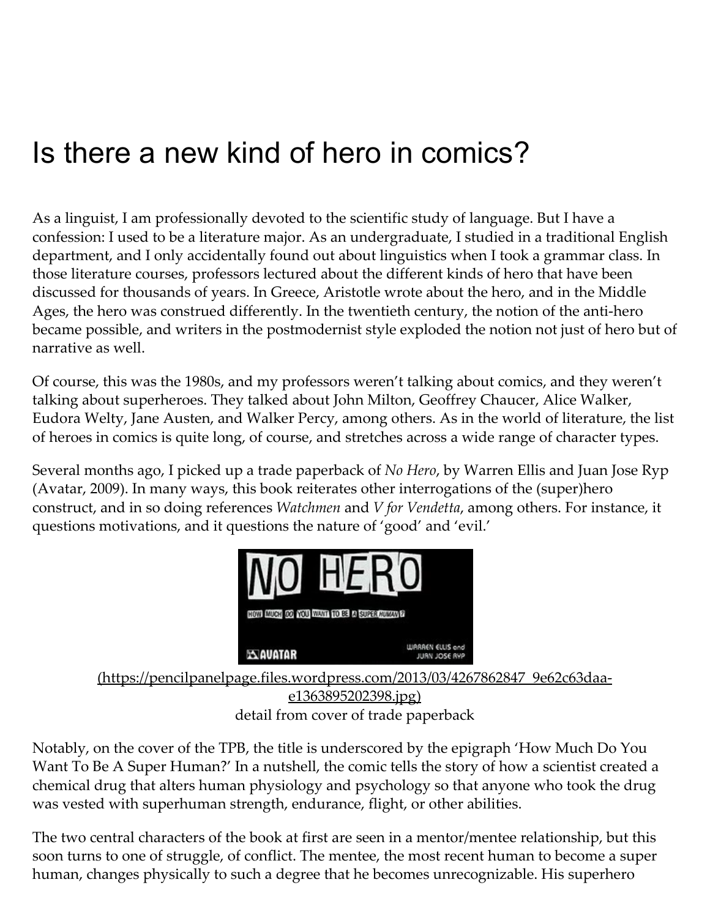As a linguist, I am professionally devoted to the scientific study of language. But I have a confession: I used to be a literature major. As an undergraduate, I studied in a traditional English department, and I only accidentally found out about linguistics when I took a grammar class. In those literature courses, professors lectured about the different kinds of hero that have been discussed for thousands of years. In Greece, Aristotle wrote about the hero, and in the Middle Ages, the hero was construed differently. In the twentieth century, the notion of the anti-hero became possible, and writers in the postmodernist style exploded the notion not just of hero but of narrative as well.

Of course, this was the 1980s, and my professors weren't talking about comics, and they weren't talking about superheroes. They talked about John Milton, Geoffrey Chaucer, Alice Walker, Eudora Welty, Jane Austen, and Walker Percy, among others. As in the world of literature, the list of heroes in comics is quite long, of course, and stretches across a wide range of character types.

Several months ago, I picked up a trade paperback of No Hero, by Warren Ellis and Juan Jose Ryp (Avatar, 2009). In many ways, this book reiterates other interrogations of the (super)hero construct, and in so doing references Watchmen and V for Vendetta, among others. For instance, it questions motivations, and it questions the nature of 'good' and 'evil.'



detail from cover of trade paperback

Notably, on the cover of the TPB, the title is underscored by the epigraph 'How Much Do You Want To Be A Super Human?' In a nutshell, the comic tells the story of how a scientist created a chemical drug that alters human physiology and psychology so that anyone who took the drug was vested with superhuman strength, endurance, flight, or other abilities.

The two central characters of the book at first are seen in a mentor/mentee relationship, but this soon turns to one of struggle, of conflict. The mentee, the most recent human to become a super human, changes physically to such a degree that he becomes unrecognizable. His superhero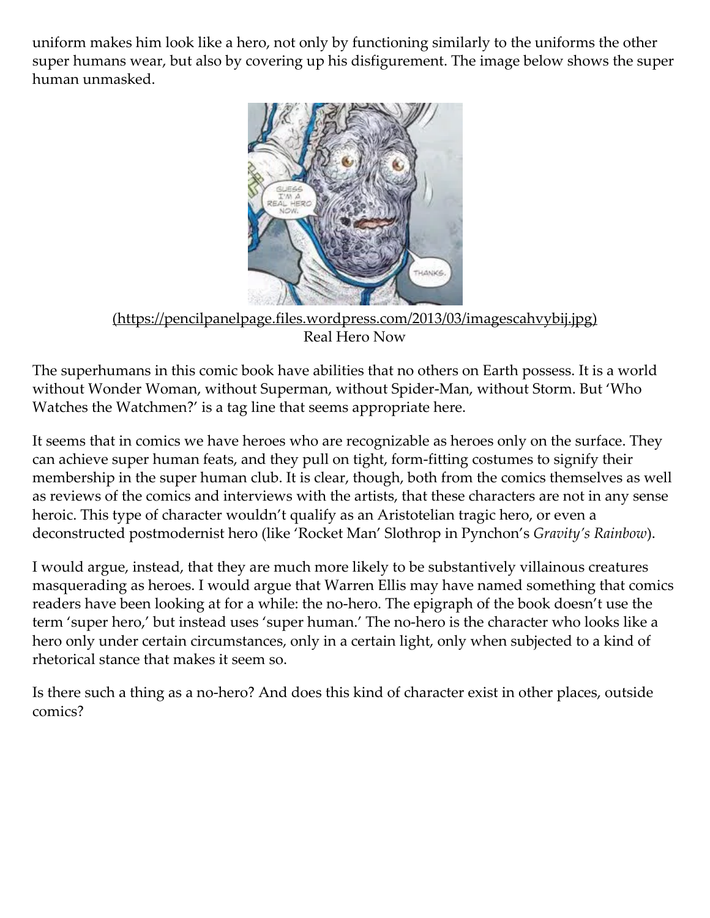uniform makes him look like a hero, not only by functioning similarly to the uniforms the other super humans wear, but also by covering up his disfigurement. The image below shows the super human unmasked.



[\(https://pencilpanelpage.files.wordpress.com/2013/03/imagescahvybij.jpg\)](https://pencilpanelpage.files.wordpress.com/2013/03/imagescahvybij.jpg) Real Hero Now

The superhumans in this comic book have abilities that no others on Earth possess. It is a world without Wonder Woman, without Superman, without Spider-Man, without Storm. But 'Who Watches the Watchmen?' is a tag line that seems appropriate here.

It seems that in comics we have heroes who are recognizable as heroes only on the surface. They can achieve super human feats, and they pull on tight, form‑fitting costumes to signify their membership in the super human club. It is clear, though, both from the comics themselves as well as reviews of the comics and interviews with the artists, that these characters are not in any sense heroic. This type of character wouldn't qualify as an Aristotelian tragic hero, or even a deconstructed postmodernist hero (like 'Rocket Man' Slothrop in Pynchon's Gravity's Rainbow).

I would argue, instead, that they are much more likely to be substantively villainous creatures masquerading as heroes. I would argue that Warren Ellis may have named something that comics readers have been looking at for a while: the no-hero. The epigraph of the book doesn't use the term 'super hero,' but instead uses 'super human.' The no-hero is the character who looks like a hero only under certain circumstances, only in a certain light, only when subjected to a kind of rhetorical stance that makes it seem so.

Is there such a thing as a no‑hero? And does this kind of character exist in other places, outside comics?